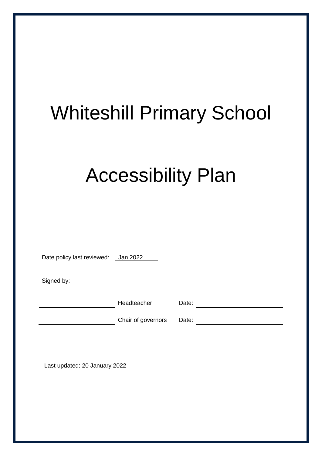# Whiteshill Primary School

## Accessibility Plan

Date policy last reviewed: Jan 2022

Signed by:

Headteacher Date:

Chair of governors Date:

Last updated: 20 January 2022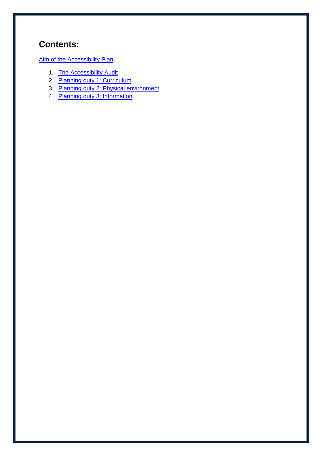## **Contents:**

[Aim of the Accessibility Plan](#page-2-0)

- 1. [The Accessibility Audit](#page-3-0)
- 2. [Planning duty 1: Curriculum](#page-3-1)
- 3. [Planning duty 2: Physical environment](#page-5-0)
- 4. [Planning duty 3: Information](#page-6-0)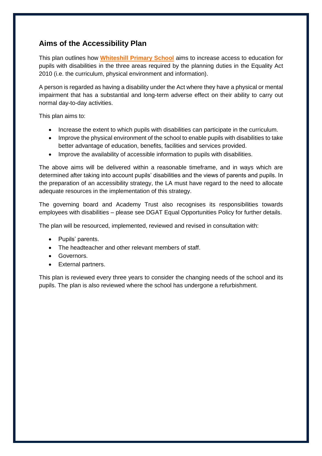#### <span id="page-2-0"></span>**Aims of the Accessibility Plan**

This plan outlines how **Whiteshill Primary School** aims to increase access to education for pupils with disabilities in the three areas required by the planning duties in the Equality Act 2010 (i.e. the curriculum, physical environment and information).

A person is regarded as having a disability under the Act where they have a physical or mental impairment that has a substantial and long-term adverse effect on their ability to carry out normal day-to-day activities.

This plan aims to:

- Increase the extent to which pupils with disabilities can participate in the curriculum.
- Improve the physical environment of the school to enable pupils with disabilities to take better advantage of education, benefits, facilities and services provided.
- Improve the availability of accessible information to pupils with disabilities.

The above aims will be delivered within a reasonable timeframe, and in ways which are determined after taking into account pupils' disabilities and the views of parents and pupils. In the preparation of an accessibility strategy, the LA must have regard to the need to allocate adequate resources in the implementation of this strategy.

The governing board and Academy Trust also recognises its responsibilities towards employees with disabilities – please see DGAT Equal Opportunities Policy for further details.

The plan will be resourced, implemented, reviewed and revised in consultation with:

- Pupils' parents.
- The headteacher and other relevant members of staff.
- Governors.
- External partners.

This plan is reviewed every three years to consider the changing needs of the school and its pupils. The plan is also reviewed where the school has undergone a refurbishment.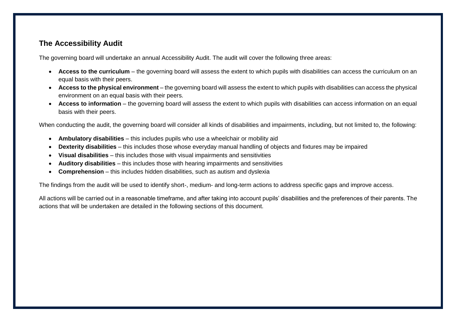#### **The Accessibility Audit**

The governing board will undertake an annual Accessibility Audit. The audit will cover the following three areas:

- **Access to the curriculum**  the governing board will assess the extent to which pupils with disabilities can access the curriculum on an equal basis with their peers.
- **Access to the physical environment**  the governing board will assess the extent to which pupils with disabilities can access the physical environment on an equal basis with their peers.
- Access to information the governing board will assess the extent to which pupils with disabilities can access information on an equal basis with their peers.

When conducting the audit, the governing board will consider all kinds of disabilities and impairments, including, but not limited to, the following:

- **Ambulatory disabilities** this includes pupils who use a wheelchair or mobility aid
- **Dexterity disabilities**  this includes those whose everyday manual handling of objects and fixtures may be impaired
- **Visual disabilities**  this includes those with visual impairments and sensitivities
- **Auditory disabilities**  this includes those with hearing impairments and sensitivities
- **Comprehension**  this includes hidden disabilities, such as autism and dyslexia

<span id="page-3-0"></span>The findings from the audit will be used to identify short-, medium- and long-term actions to address specific gaps and improve access.

<span id="page-3-1"></span>All actions will be carried out in a reasonable timeframe, and after taking into account pupils' disabilities and the preferences of their parents. The actions that will be undertaken are detailed in the following sections of this document.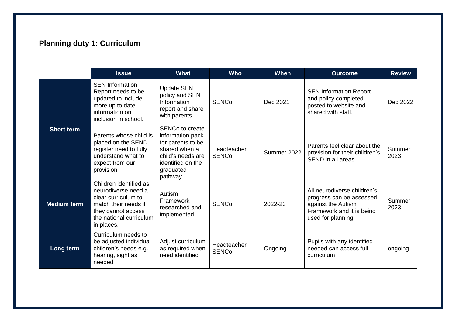## **Planning duty 1: Curriculum**

|                    | <b>Issue</b>                                                                                                                                                | <b>What</b>                                                                                                                                        | <b>Who</b>                  | <b>When</b> | <b>Outcome</b>                                                                                                                  | <b>Review</b>  |
|--------------------|-------------------------------------------------------------------------------------------------------------------------------------------------------------|----------------------------------------------------------------------------------------------------------------------------------------------------|-----------------------------|-------------|---------------------------------------------------------------------------------------------------------------------------------|----------------|
| <b>Short term</b>  | <b>SEN Information</b><br>Report needs to be<br>updated to include<br>more up to date<br>information on<br>inclusion in school.                             | <b>Update SEN</b><br>policy and SEN<br>Information<br>report and share<br>with parents                                                             | <b>SENCo</b>                | Dec 2021    | <b>SEN Information Report</b><br>and policy completed -<br>posted to website and<br>shared with staff.                          | Dec 2022       |
|                    | Parents whose child is<br>placed on the SEND<br>register need to fully<br>understand what to<br>expect from our<br>provision                                | <b>SENCo to create</b><br>information pack<br>for parents to be<br>shared when a<br>child's needs are<br>identified on the<br>graduated<br>pathway | Headteacher<br><b>SENCo</b> | Summer 2022 | Parents feel clear about the<br>provision for their children's<br>SEND in all areas.                                            | Summer<br>2023 |
| <b>Medium term</b> | Children identified as<br>neurodiverse need a<br>clear curriculum to<br>match their needs if<br>they cannot access<br>the national curriculum<br>in places. | Autism<br>Framework<br>researched and<br>implemented                                                                                               | <b>SENCo</b>                | 2022-23     | All neurodiverse children's<br>progress can be assessed<br>against the Autism<br>Framework and it is being<br>used for planning | Summer<br>2023 |
| Long term          | Curriculum needs to<br>be adjusted individual<br>children's needs e.g.<br>hearing, sight as<br>needed                                                       | Adjust curriculum<br>as required when<br>need identified                                                                                           | Headteacher<br><b>SENCo</b> | Ongoing     | Pupils with any identified<br>needed can access full<br>curriculum                                                              | ongoing        |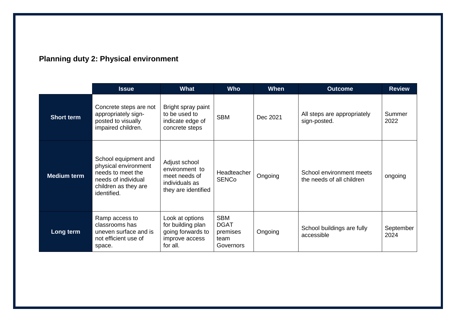<span id="page-5-0"></span>

|                    | <b>Issue</b>                                                                                                                    | What                                                                                      | <b>Who</b>                                                 | When     | <b>Outcome</b>                                        | <b>Review</b>     |
|--------------------|---------------------------------------------------------------------------------------------------------------------------------|-------------------------------------------------------------------------------------------|------------------------------------------------------------|----------|-------------------------------------------------------|-------------------|
| <b>Short term</b>  | Concrete steps are not<br>appropriately sign-<br>posted to visually<br>impaired children.                                       | Bright spray paint<br>to be used to<br>indicate edge of<br>concrete steps                 | <b>SBM</b>                                                 | Dec 2021 | All steps are appropriately<br>sign-posted.           | Summer<br>2022    |
| <b>Medium term</b> | School equipment and<br>physical environment<br>needs to meet the<br>needs of individual<br>children as they are<br>identified. | Adjust school<br>environment to<br>meet needs of<br>individuals as<br>they are identified | Headteacher<br><b>SENCo</b>                                | Ongoing  | School environment meets<br>the needs of all children | ongoing           |
| Long term          | Ramp access to<br>classrooms has<br>uneven surface and is<br>not efficient use of<br>space.                                     | Look at options<br>for building plan<br>going forwards to<br>improve access<br>for all.   | <b>SBM</b><br><b>DGAT</b><br>premises<br>team<br>Governors | Ongoing  | School buildings are fully<br>accessible              | September<br>2024 |